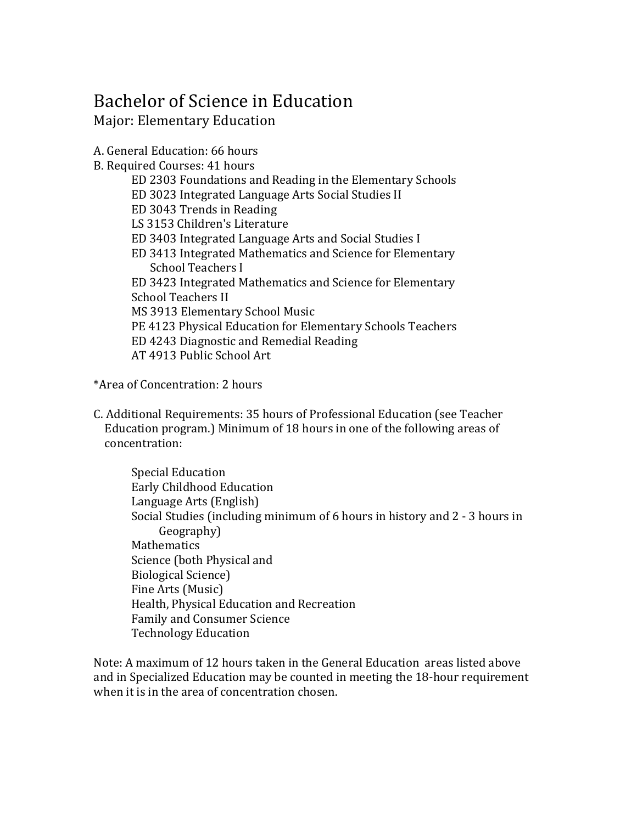## Bachelor of Science in Education Major: Elementary Education

A. General Education: 66 hours B. Required Courses: 41 hours ED 2303 Foundations and Reading in the Elementary Schools ED 3023 Integrated Language Arts Social Studies II ED 3043 Trends in Reading LS 3153 Children's Literature ED 3403 Integrated Language Arts and Social Studies I ED 3413 Integrated Mathematics and Science for Elementary School Teachers I ED 3423 Integrated Mathematics and Science for Elementary School Teachers II MS 3913 Elementary School Music PE 4123 Physical Education for Elementary Schools Teachers ED 4243 Diagnostic and Remedial Reading AT 4913 Public School Art

\*Area of Concentration: 2 hours

C. Additional Requirements: 35 hours of Professional Education (see Teacher Education program.) Minimum of 18 hours in one of the following areas of concentration:

Special Education Early Childhood Education Language Arts (English) Social Studies (including minimum of 6 hours in history and 2 - 3 hours in Geography) **Mathematics** Science (both Physical and Biological Science) Fine Arts (Music) Health, Physical Education and Recreation Family and Consumer Science Technology Education

Note: A maximum of 12 hours taken in the General Education areas listed above and in Specialized Education may be counted in meeting the 18-hour requirement when it is in the area of concentration chosen.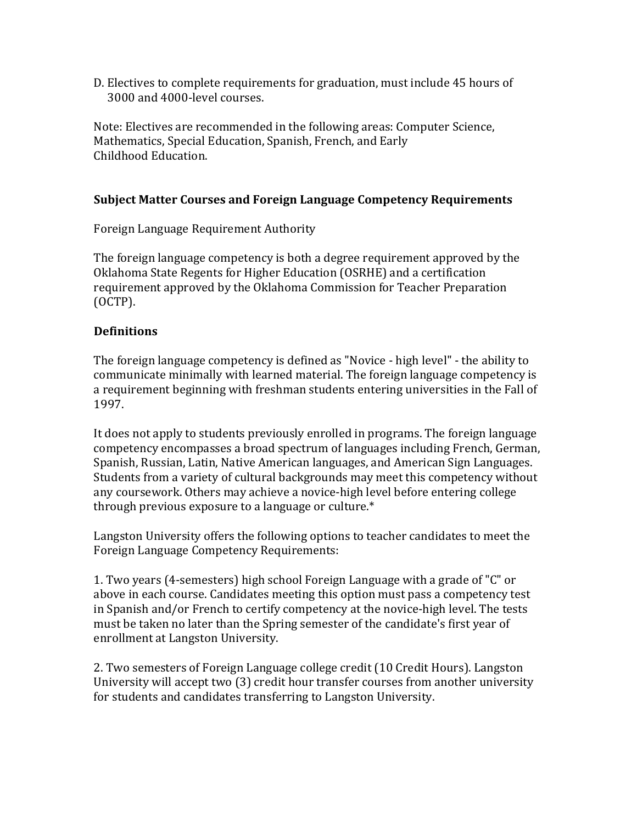D. Electives to complete requirements for graduation, must include 45 hours of 3000 and 4000-level courses.

Note: Electives are recommended in the following areas: Computer Science, Mathematics, Special Education, Spanish, French, and Early Childhood Education.

## **Subject Matter Courses and Foreign Language Competency Requirements**

Foreign Language Requirement Authority

The foreign language competency is both a degree requirement approved by the Oklahoma State Regents for Higher Education (OSRHE) and a certification requirement approved by the Oklahoma Commission for Teacher Preparation (OCTP). 

## **Definitions**

The foreign language competency is defined as "Novice - high level" - the ability to communicate minimally with learned material. The foreign language competency is a requirement beginning with freshman students entering universities in the Fall of 1997. 

It does not apply to students previously enrolled in programs. The foreign language competency encompasses a broad spectrum of languages including French, German, Spanish, Russian, Latin, Native American languages, and American Sign Languages. Students from a variety of cultural backgrounds may meet this competency without any coursework. Others may achieve a novice-high level before entering college through previous exposure to a language or culture. $*$ 

Langston University offers the following options to teacher candidates to meet the Foreign Language Competency Requirements:

1. Two years (4-semesters) high school Foreign Language with a grade of "C" or above in each course. Candidates meeting this option must pass a competency test in Spanish and/or French to certify competency at the novice-high level. The tests must be taken no later than the Spring semester of the candidate's first year of enrollment at Langston University.

2. Two semesters of Foreign Language college credit (10 Credit Hours). Langston University will accept two (3) credit hour transfer courses from another university for students and candidates transferring to Langston University.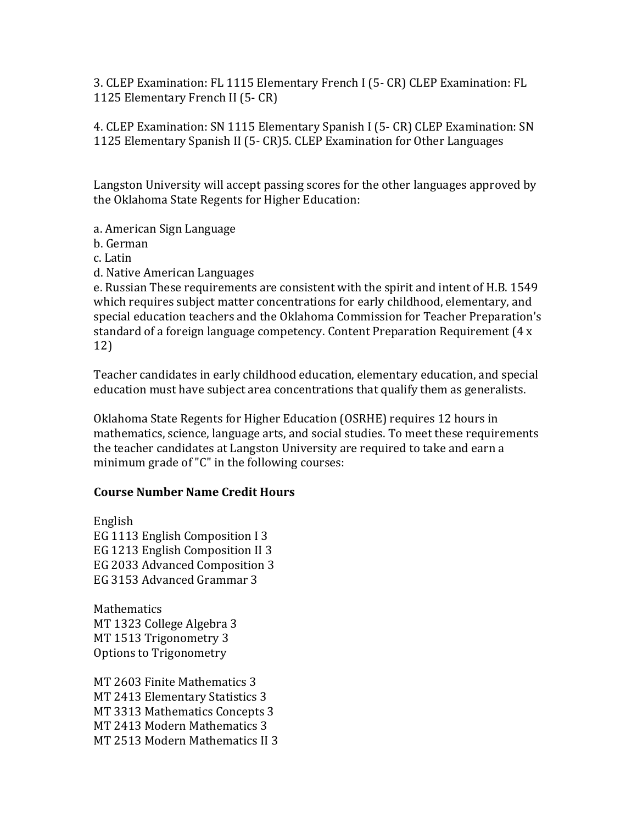3. CLEP Examination: FL 1115 Elementary French I (5- CR) CLEP Examination: FL 1125 Elementary French II (5- CR)

4. CLEP Examination: SN 1115 Elementary Spanish I (5- CR) CLEP Examination: SN 1125 Elementary Spanish II (5- CR)5. CLEP Examination for Other Languages

Langston University will accept passing scores for the other languages approved by the Oklahoma State Regents for Higher Education:

a. American Sign Language

b. German 

c. Latin 

d. Native American Languages

e. Russian These requirements are consistent with the spirit and intent of H.B. 1549 which requires subject matter concentrations for early childhood, elementary, and special education teachers and the Oklahoma Commission for Teacher Preparation's standard of a foreign language competency. Content Preparation Requirement  $(4 \times$ 12) 

Teacher candidates in early childhood education, elementary education, and special education must have subject area concentrations that qualify them as generalists.

Oklahoma State Regents for Higher Education (OSRHE) requires 12 hours in mathematics, science, language arts, and social studies. To meet these requirements the teacher candidates at Langston University are required to take and earn a minimum grade of "C" in the following courses:

## **Course Number Name Credit Hours**

English EG 1113 English Composition I 3 EG 1213 English Composition II 3 EG 2033 Advanced Composition 3 EG 3153 Advanced Grammar 3

**Mathematics** MT 1323 College Algebra 3 MT 1513 Trigonometry 3 Options to Trigonometry

MT 2603 Finite Mathematics 3 MT 2413 Elementary Statistics 3 MT 3313 Mathematics Concepts 3 MT 2413 Modern Mathematics 3 MT 2513 Modern Mathematics II 3